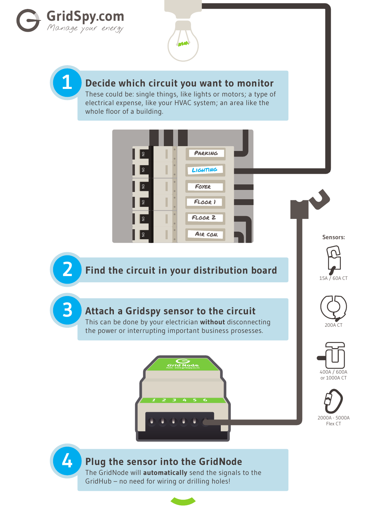





## **1 Decide which circuit you want to monitor**

These could be: single things, like lights or motors; a type of electrical expense, like your HVAC system; an area like the whole floor of a building.



**2 Find the circuit in your distribution board**



200A CT

## **3 Attach a Gridspy sensor to the circuit**

This can be done by your electrician **without** disconnecting the power or interrupting important business prosesses.





2000A - 5000A Flex CT

## **4 Plug the sensor into the GridNode**

The GridNode will **automatically** send the signals to the GridHub – no need for wiring or drilling holes!